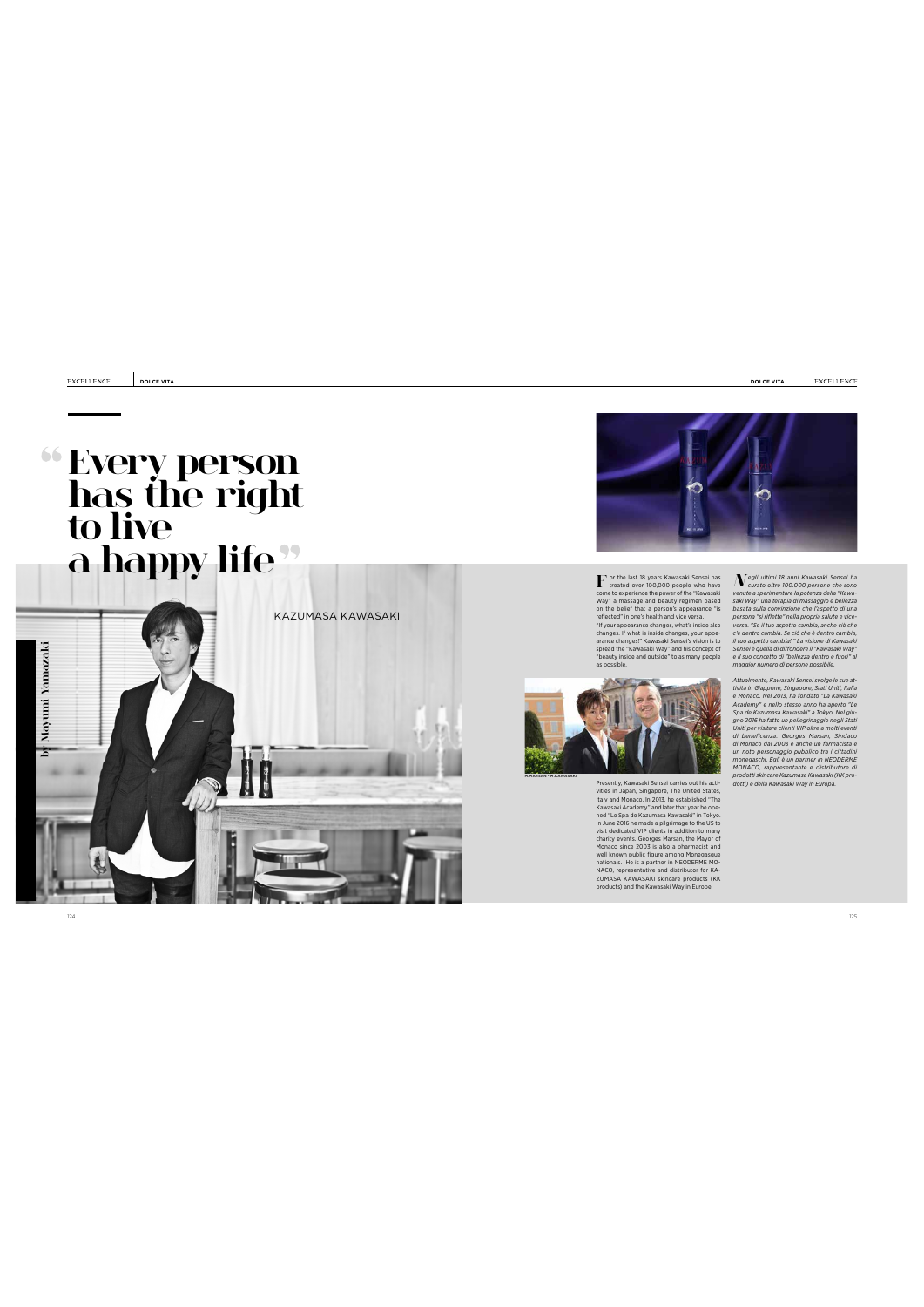**DOLCE VITA DOLCE VITA**

# **(Every person** ha<u>s</u> the right to\_live **a happy life**





Least over 100,000 people who have<br>come to experience the power of the "Kawasaki<br>way" a massage and beauty regimen based on the belief that a person's appearance "is<br>reflected" in one's health and vice versa.<br>The reflected  $\Gamma$  or the last 18 years Kawasaki Sensei has<br>treated over 100,000 people who have  $N$ 



Presently, Kawasaki Sensie Carel Instantine Surfits actions<br>
Teristic In Japan, Singapore, The United States, Italy and Monaco. In 2013, he established "The Nova<br>
Kawasaki Academy" and later that year he operation is also

 $\label{eq:22} \begin{array}{l} \displaystyle \int \nabla g y \, \text{if} \, \text{if} \, \beta \, \text{if} \, \text{and} \, \text{in} \, \text{As} \, \text{wasch} \, \text{Seensch} \, \text{elsech} \, \text{and} \, \text{hasch} \, \text{and} \, \text{hasch} \, \text{andel} \, \text{Wevence a posterioral} \, \text{for} \, \text{hasch} \, \text{Wevare us that} \, \text{Wevare us to be a positive constant.} \, \text{We have a positive constant, we can use a zero of the zero constant.} \, \text{Weveess}$ 

Attualmente, Kawasaki Sensei svogle lesue at<br>Attualmente, Kawasaki Sensei politik (in Giappone, Singapone, Stati Uniti, Italia<br>Academy" e nello stesso anno ha aperto "Le"<br>Academy" e nello stesso anno ha aperto "Le"<br>Spa de